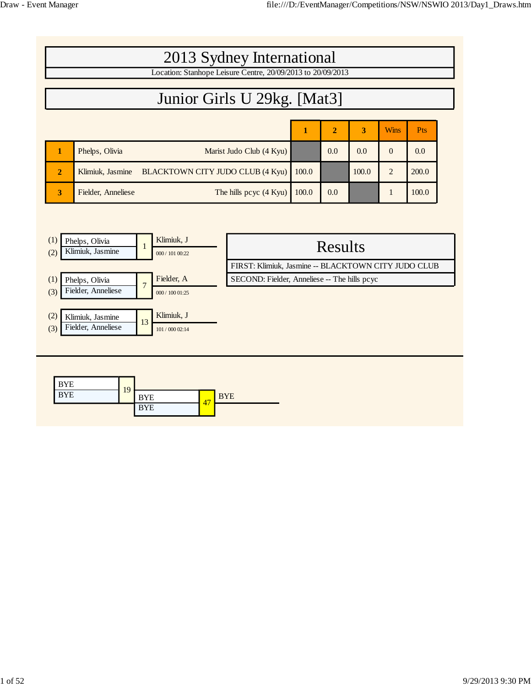| 2013 Sydney International                                   |                    |                                  |       |                |       |                |       |  |  |  |  |
|-------------------------------------------------------------|--------------------|----------------------------------|-------|----------------|-------|----------------|-------|--|--|--|--|
| Location: Stanhope Leisure Centre, 20/09/2013 to 20/09/2013 |                    |                                  |       |                |       |                |       |  |  |  |  |
| Junior Girls U 29kg. [Mat3]                                 |                    |                                  |       |                |       |                |       |  |  |  |  |
|                                                             |                    |                                  |       |                |       |                |       |  |  |  |  |
|                                                             |                    |                                  | 1     | $\overline{2}$ | 3     | <b>Wins</b>    | Pts   |  |  |  |  |
|                                                             | Phelps, Olivia     | Marist Judo Club (4 Kyu)         |       | 0.0            | 0.0   | $\Omega$       | 0.0   |  |  |  |  |
| $\overline{2}$                                              | Klimiuk, Jasmine   | BLACKTOWN CITY JUDO CLUB (4 Kyu) | 100.0 |                | 100.0 | $\overline{2}$ | 200.0 |  |  |  |  |
| 3                                                           | Fielder, Anneliese | The hills pcyc (4 Kyu)           | 100.0 | 0.0            |       | 1              | 100.0 |  |  |  |  |
|                                                             |                    |                                  |       |                |       |                |       |  |  |  |  |

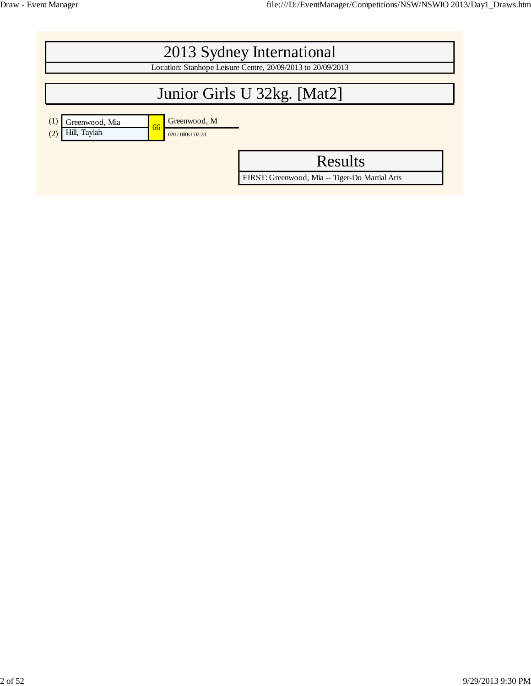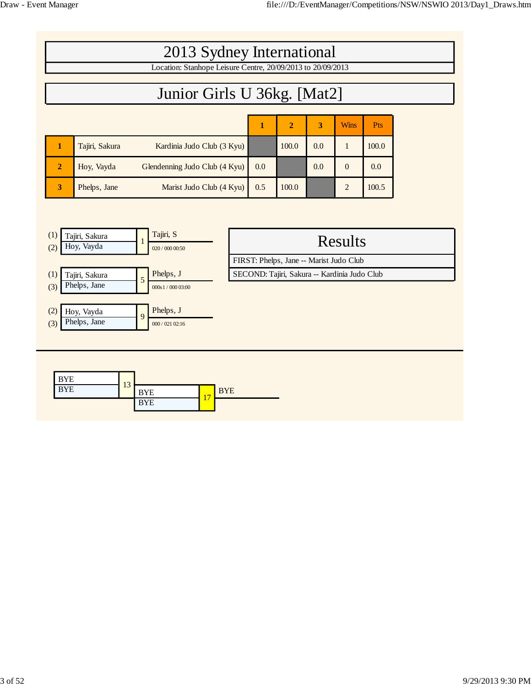| 2013 Sydney International<br>Location: Stanhope Leisure Centre, 20/09/2013 to 20/09/2013<br>Junior Girls U 36kg. [Mat2] |                |                               |     |                |     |                |            |  |
|-------------------------------------------------------------------------------------------------------------------------|----------------|-------------------------------|-----|----------------|-----|----------------|------------|--|
|                                                                                                                         |                |                               | 1   | $\overline{2}$ | 3   | <b>Wins</b>    | <b>Pts</b> |  |
|                                                                                                                         | Tajiri, Sakura | Kardinia Judo Club (3 Kyu)    |     | 100.0          | 0.0 | 1              | 100.0      |  |
| $\overline{2}$                                                                                                          | Hoy, Vayda     | Glendenning Judo Club (4 Kyu) | 0.0 |                | 0.0 | $\Omega$       | 0.0        |  |
| 3                                                                                                                       | Phelps, Jane   | Marist Judo Club (4 Kyu)      | 0.5 | 100.0          |     | $\overline{2}$ | 100.5      |  |



FIRST: Phelps, Jane -- Marist Judo Club

Phelps, J SECOND: Tajiri, Sakura -- Kardinia Judo Club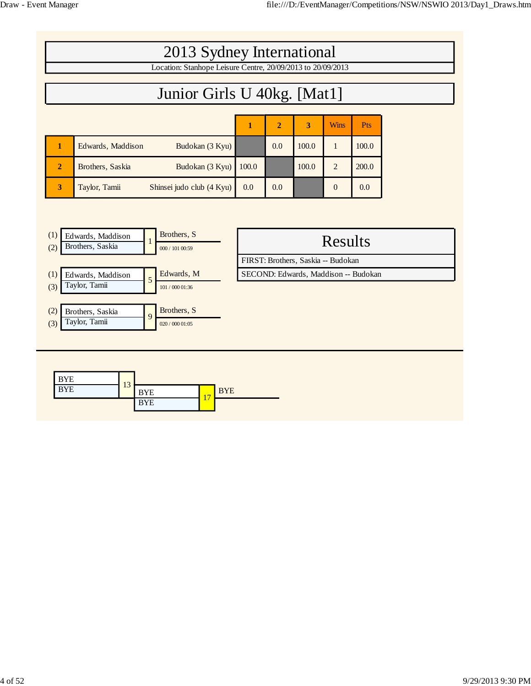| 2013 Sydney International<br>Location: Stanhope Leisure Centre, 20/09/2013 to 20/09/2013         |                                            |       |                |       |             |       |  |  |  |  |
|--------------------------------------------------------------------------------------------------|--------------------------------------------|-------|----------------|-------|-------------|-------|--|--|--|--|
| Junior Girls U 40kg. [Mat1]                                                                      |                                            |       |                |       |             |       |  |  |  |  |
|                                                                                                  |                                            | 1     | $\overline{2}$ | 3     | <b>Wins</b> | Pts   |  |  |  |  |
| 1                                                                                                | Edwards, Maddison<br>Budokan (3 Kyu)       |       | 0.0            | 100.0 | 1           | 100.0 |  |  |  |  |
| $\overline{2}$                                                                                   | Brothers, Saskia<br>Budokan (3 Kyu)        | 100.0 |                | 100.0 | 2           | 200.0 |  |  |  |  |
| 3                                                                                                | Taylor, Tamii<br>Shinsei judo club (4 Kyu) | 0.0   | 0.0            |       | $\theta$    | 0.0   |  |  |  |  |
|                                                                                                  |                                            |       |                |       |             |       |  |  |  |  |
| Brothers, S<br>(1)<br>Edwards, Maddison<br>Results<br>Brothers, Saskia<br>(2)<br>000 / 101 00:59 |                                            |       |                |       |             |       |  |  |  |  |

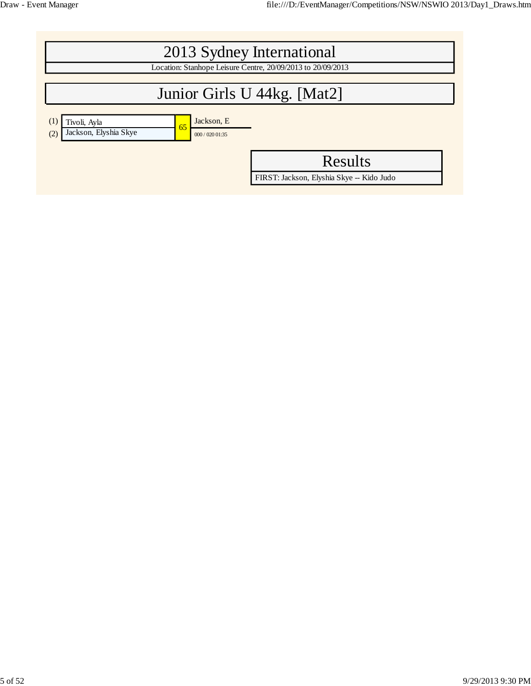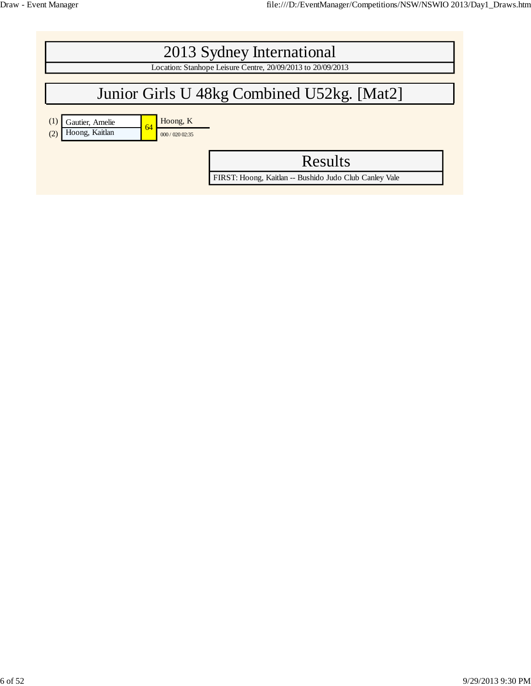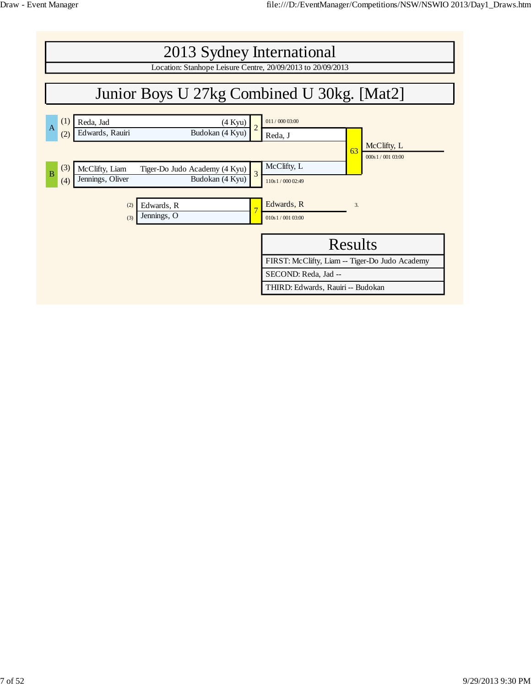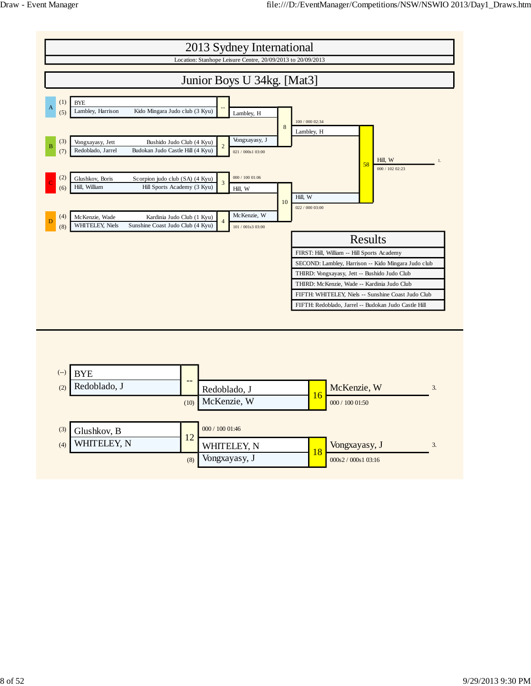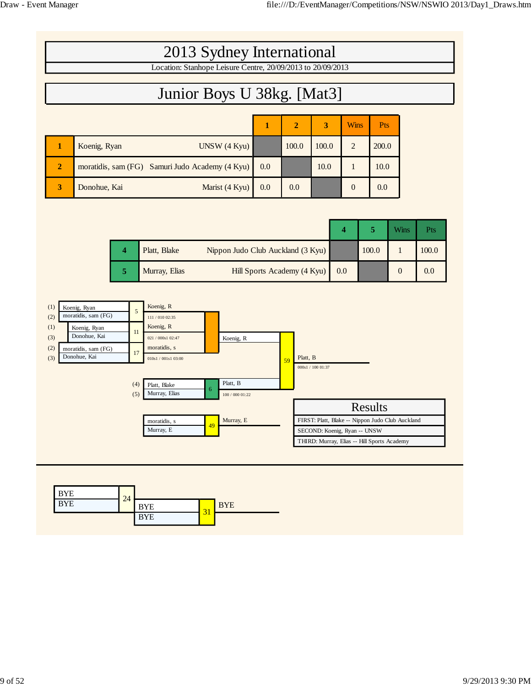| 2013 Sydney International                                   |                                                 |     |                |       |                |            |  |  |  |  |
|-------------------------------------------------------------|-------------------------------------------------|-----|----------------|-------|----------------|------------|--|--|--|--|
| Location: Stanhope Leisure Centre, 20/09/2013 to 20/09/2013 |                                                 |     |                |       |                |            |  |  |  |  |
| Junior Boys U 38kg. [Mat3]                                  |                                                 |     |                |       |                |            |  |  |  |  |
|                                                             |                                                 | 1   | $\overline{2}$ | 3     | <b>Wins</b>    | <b>Pts</b> |  |  |  |  |
|                                                             | Koenig, Ryan<br>UNSW(4 Kyu)                     |     | 100.0          | 100.0 | 2              | 200.0      |  |  |  |  |
| $\overline{2}$                                              | moratidis, sam (FG) Samuri Judo Academy (4 Kyu) | 0.0 |                | 10.0  |                | 10.0       |  |  |  |  |
| 3                                                           | Marist (4 Kyu)<br>Donohue, Kai                  | 0.0 | 0.0            |       | $\overline{0}$ | 0.0        |  |  |  |  |

|  | Platt, Blake  | Nippon Judo Club Auckland (3 Kyu) |     | 100.0 | 100.0 |
|--|---------------|-----------------------------------|-----|-------|-------|
|  | Murray, Elias | Hill Sports Academy (4 Kyu)       | 0.0 |       | 0.0   |



| <b>BYE</b><br>24                             |
|----------------------------------------------|
| <b>BYE</b><br><b>BYE</b><br><b>BYE</b><br>31 |
| <b>BYE</b>                                   |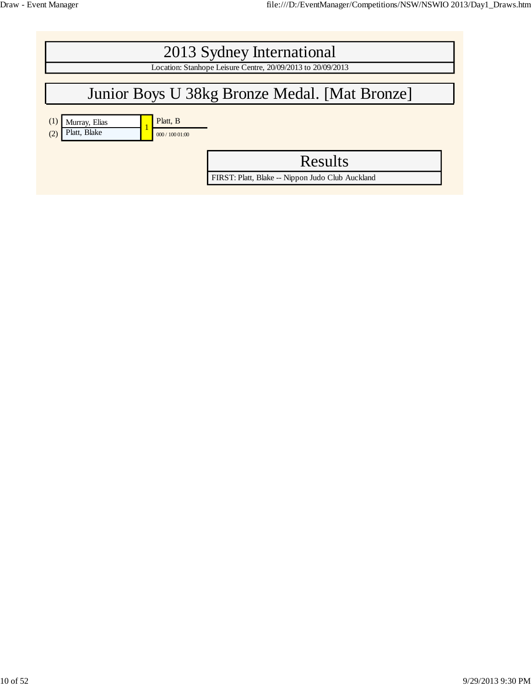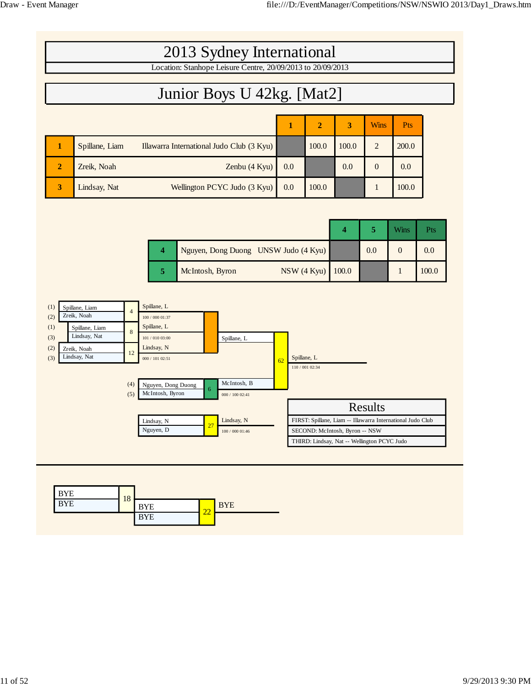| 2013 Sydney International                                   |                |                                           |     |                |       |             |                  |  |  |
|-------------------------------------------------------------|----------------|-------------------------------------------|-----|----------------|-------|-------------|------------------|--|--|
| Location: Stanhope Leisure Centre, 20/09/2013 to 20/09/2013 |                |                                           |     |                |       |             |                  |  |  |
| Junior Boys U 42kg. [Mat2]                                  |                |                                           |     |                |       |             |                  |  |  |
|                                                             |                |                                           | 1   | $\overline{2}$ | 3     | <b>Wins</b> | <b>Pts</b>       |  |  |
|                                                             | Spillane, Liam | Illawarra International Judo Club (3 Kyu) |     | 100.0          | 100.0 | 2           | 200.0            |  |  |
| $\overline{2}$                                              | Zreik, Noah    | Zenbu $(4$ Kyu $)$                        | 0.0 |                | 0.0   | $\Omega$    | 0.0 <sub>1</sub> |  |  |
| 3                                                           | Lindsay, Nat   | Wellington PCYC Judo (3 Kyu)              | 0.0 | 100.0          |       |             | 100.0            |  |  |

|   |                                      |     | <b>Wins</b> | Pts   |
|---|--------------------------------------|-----|-------------|-------|
| 4 | Nguyen, Dong Duong UNSW Judo (4 Kyu) | 0.0 |             | 0.0   |
| 5 | NSW (4 Kyu) 100.0<br>McIntosh, Byron |     |             | 100.0 |



| <b>BYE</b> | 18 |            |          |            |
|------------|----|------------|----------|------------|
| <b>BYE</b> |    | <b>BYE</b> | $\Omega$ | <b>BYE</b> |
|            |    | <b>BYE</b> | 44       |            |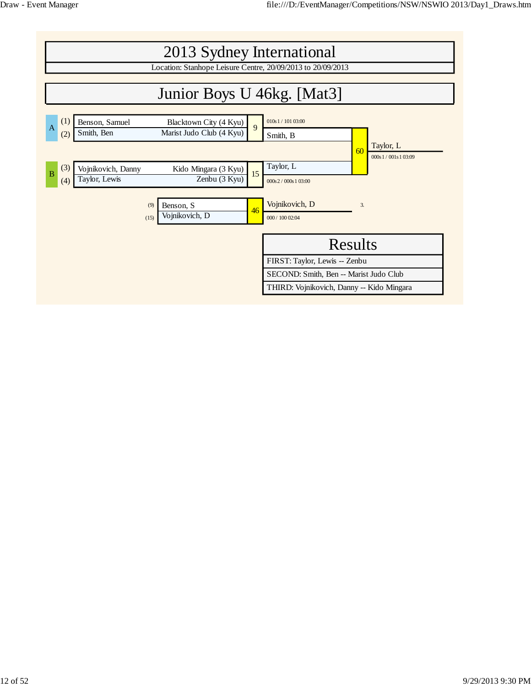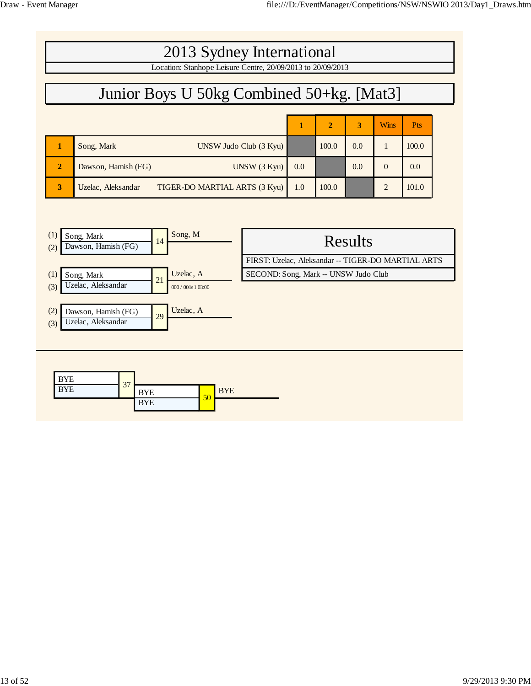| 2013 Sydney International                                   |                                                     |     |                |     |                |            |  |  |  |  |
|-------------------------------------------------------------|-----------------------------------------------------|-----|----------------|-----|----------------|------------|--|--|--|--|
| Location: Stanhope Leisure Centre, 20/09/2013 to 20/09/2013 |                                                     |     |                |     |                |            |  |  |  |  |
|                                                             | Junior Boys U 50kg Combined 50+kg. [Mat3]           |     |                |     |                |            |  |  |  |  |
|                                                             |                                                     |     | $\overline{2}$ | 3   | <b>Wins</b>    | <b>Pts</b> |  |  |  |  |
|                                                             | Song, Mark<br>$UNSW$ Judo Club $(3 Kyu)$            |     | 100.0          | 0.0 |                | 100.0      |  |  |  |  |
| $\overline{2}$                                              | UNSW (3 Kvu)<br>Dawson, Hamish (FG)                 | 0.0 |                | 0.0 | $\Omega$       | 0.0        |  |  |  |  |
| 3                                                           | TIGER-DO MARTIAL ARTS (3 Kyu)<br>Uzelac, Aleksandar | 1.0 | 100.0          |     | $\mathfrak{D}$ | 101.0      |  |  |  |  |

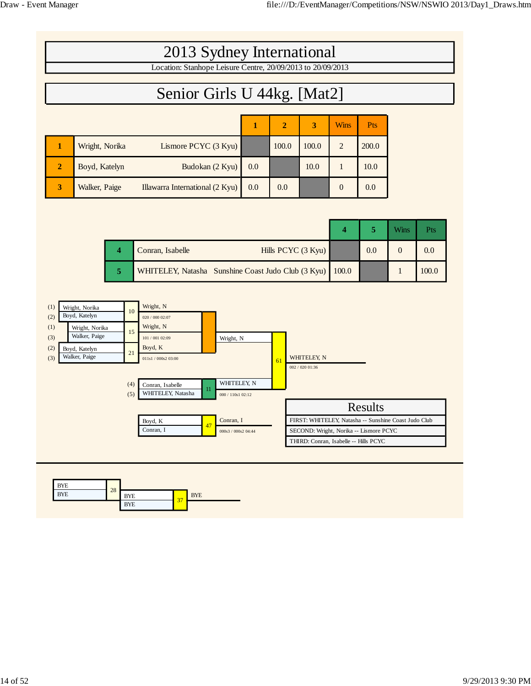| 2013 Sydney International                                   |                |                                 |     |                |       |                |            |  |  |  |
|-------------------------------------------------------------|----------------|---------------------------------|-----|----------------|-------|----------------|------------|--|--|--|
| Location: Stanhope Leisure Centre, 20/09/2013 to 20/09/2013 |                |                                 |     |                |       |                |            |  |  |  |
| Senior Girls U 44kg. [Mat2]                                 |                |                                 |     |                |       |                |            |  |  |  |
|                                                             |                |                                 | 1   | $\overline{2}$ | 3     | <b>Wins</b>    | <b>Pts</b> |  |  |  |
| 1                                                           | Wright, Norika | Lismore PCYC (3 Kyu)            |     | 100.0          | 100.0 | $\overline{2}$ | 200.0      |  |  |  |
| $\overline{2}$                                              | Boyd, Katelyn  | Budokan (2 Kyu)                 | 0.0 |                | 10.0  |                | 10.0       |  |  |  |
| 3                                                           | Walker, Paige  | Illawarra International (2 Kyu) | 0.0 | 0.0            |       | $\theta$       | 0.0        |  |  |  |

|  | Hills PCYC (3 Kyu)<br>Conran, Isabelle                   | 0.0 | 0.0   |
|--|----------------------------------------------------------|-----|-------|
|  | WHITELEY, Natasha Sunshine Coast Judo Club (3 Kyu) 100.0 |     | 100.0 |



| BYE        |    |            |                          |            |  |  |
|------------|----|------------|--------------------------|------------|--|--|
| <b>BYE</b> | 28 | <b>BYE</b> | $\overline{\phantom{a}}$ | <b>BYE</b> |  |  |
|            |    | <b>BYE</b> | -27                      |            |  |  |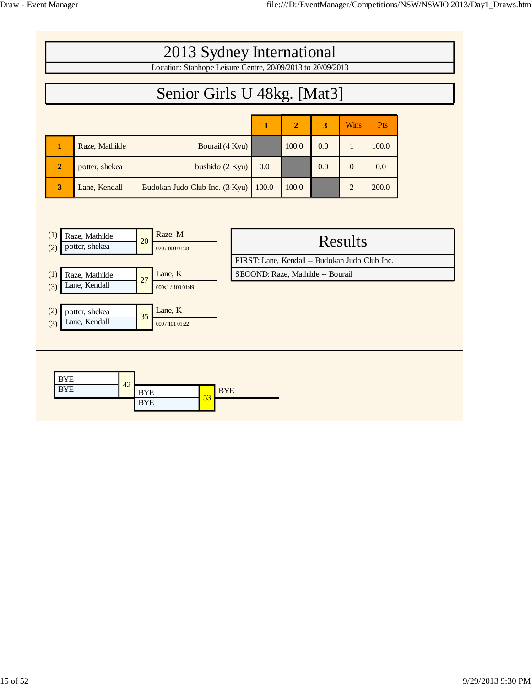| 2013 Sydney International<br>Location: Stanhope Leisure Centre, 20/09/2013 to 20/09/2013 |                |                                |       |       |     |                |            |  |
|------------------------------------------------------------------------------------------|----------------|--------------------------------|-------|-------|-----|----------------|------------|--|
|                                                                                          |                |                                |       |       |     |                |            |  |
|                                                                                          |                | Senior Girls U 48kg. [Mat3]    |       |       |     |                |            |  |
|                                                                                          |                |                                |       |       |     |                |            |  |
|                                                                                          |                |                                | 1     | 2     | 3   | <b>Wins</b>    | <b>Pts</b> |  |
|                                                                                          | Raze, Mathilde | Bourail (4 Kyu)                |       | 100.0 | 0.0 | 1              | 100.0      |  |
| $\overline{2}$                                                                           | potter, shekea | bushido $(2 Kyu)$              | 0.0   |       | 0.0 | $\overline{0}$ | 0.0        |  |
| 3                                                                                        | Lane, Kendall  | Budokan Judo Club Inc. (3 Kyu) | 100.0 | 100.0 |     | $\overline{2}$ | 200.0      |  |
|                                                                                          |                |                                |       |       |     |                |            |  |
|                                                                                          |                |                                |       |       |     |                |            |  |

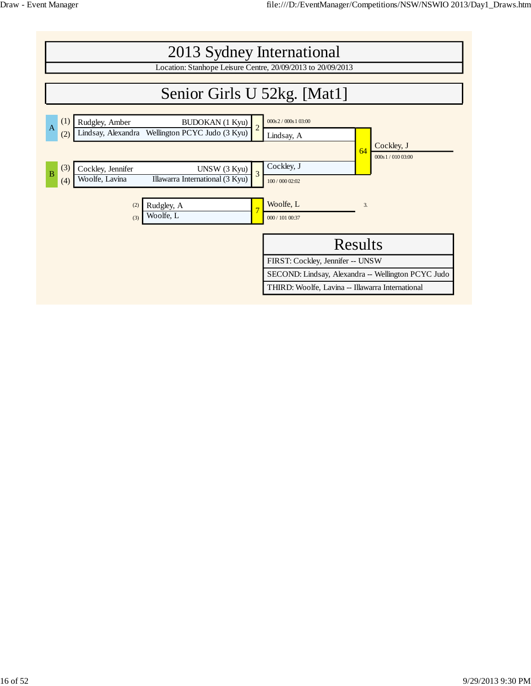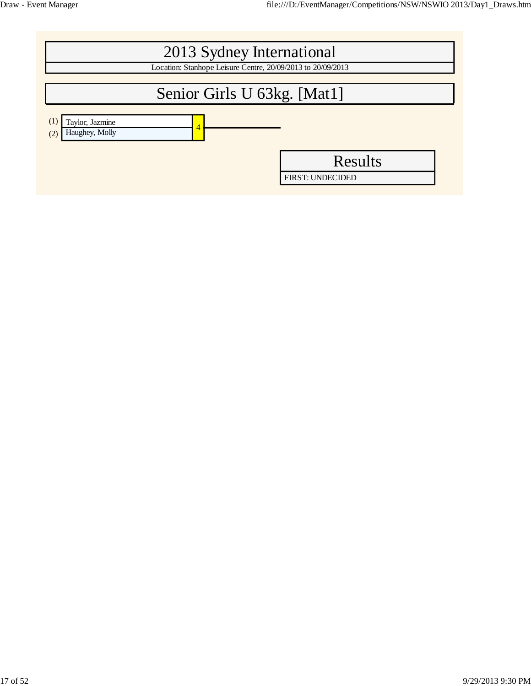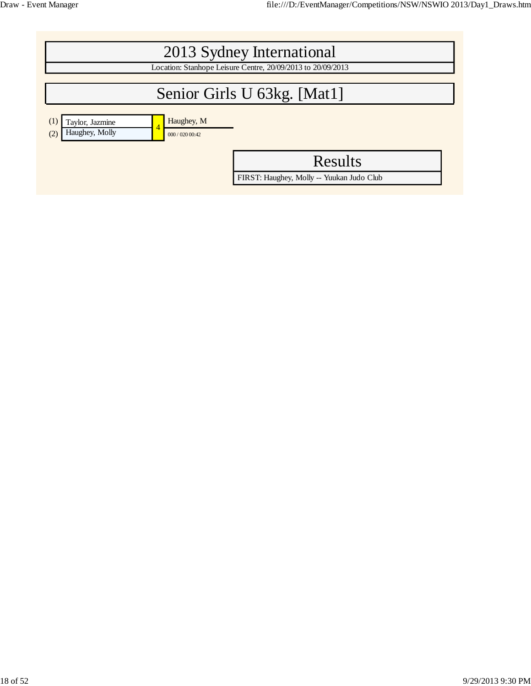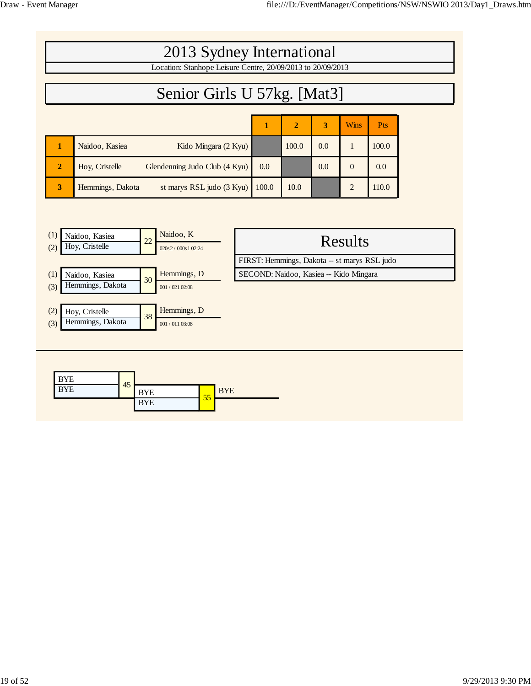|                | 2013 Sydney International                                   |       |                |     |                |            |  |  |  |
|----------------|-------------------------------------------------------------|-------|----------------|-----|----------------|------------|--|--|--|
|                | Location: Stanhope Leisure Centre, 20/09/2013 to 20/09/2013 |       |                |     |                |            |  |  |  |
|                | Senior Girls U 57kg. [Mat3]                                 |       |                |     |                |            |  |  |  |
|                |                                                             |       |                |     |                |            |  |  |  |
|                |                                                             | ш     | $\overline{2}$ | 3   | <b>Wins</b>    | <b>Pts</b> |  |  |  |
|                | Naidoo, Kasiea<br>Kido Mingara (2 Kyu)                      |       | 100.0          | 0.0 | 1              | 100.0      |  |  |  |
| $\overline{2}$ | Glendenning Judo Club (4 Kyu)<br>Hoy, Cristelle             | 0.0   |                | 0.0 | $\overline{0}$ | 0.0        |  |  |  |
| 3              | st marys RSL judo (3 Kyu)<br>Hemmings, Dakota               | 100.0 | 10.0           |     | $\overline{2}$ | 110.0      |  |  |  |
|                |                                                             |       |                |     |                |            |  |  |  |

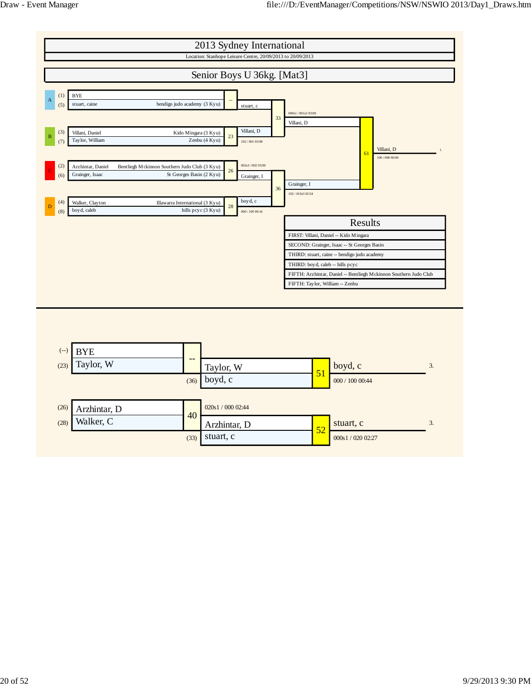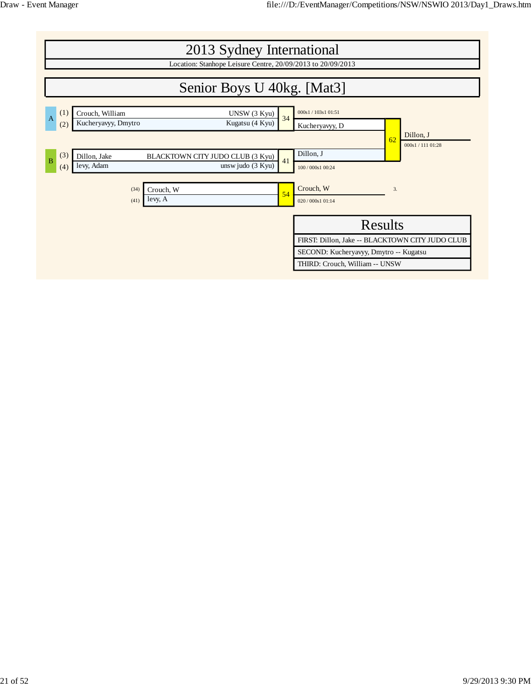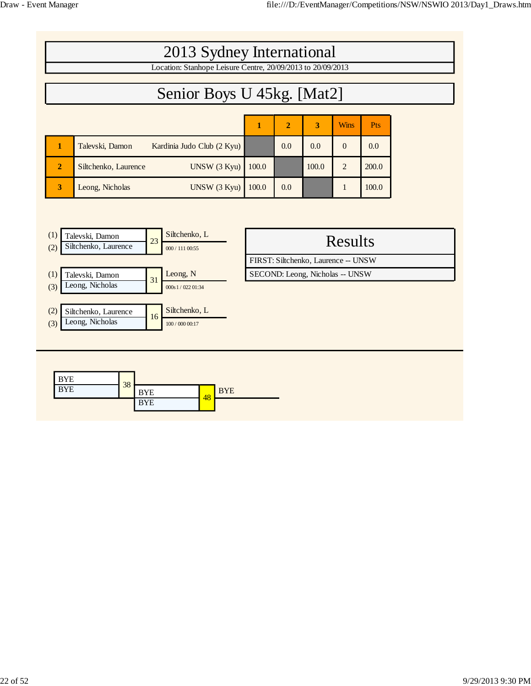|                          | 2013 Sydney International                                                         |       |                |                                                                        |                |       |  |
|--------------------------|-----------------------------------------------------------------------------------|-------|----------------|------------------------------------------------------------------------|----------------|-------|--|
|                          | Location: Stanhope Leisure Centre, 20/09/2013 to 20/09/2013                       |       |                |                                                                        |                |       |  |
|                          | Senior Boys U 45kg. [Mat2]                                                        |       |                |                                                                        |                |       |  |
|                          |                                                                                   | 1     | $\overline{2}$ | 3                                                                      | <b>Wins</b>    | Pts   |  |
| 1                        | Talevski, Damon<br>Kardinia Judo Club (2 Kyu)                                     |       | 0.0            | 0.0                                                                    | $\mathbf{0}$   | 0.0   |  |
| $\boldsymbol{2}$         | Siltchenko, Laurence<br>UNSW(3 Kyu)                                               | 100.0 |                | 100.0                                                                  | 2              | 200.0 |  |
| 3                        | UNSW (3 Kyu)<br>Leong, Nicholas                                                   | 100.0 | 0.0            |                                                                        | $\mathbf{1}$   | 100.0 |  |
|                          |                                                                                   |       |                |                                                                        |                |       |  |
| (1)<br>(2)               | Siltchenko, L<br>Talevski, Damon<br>23<br>Siltchenko, Laurence<br>000 / 111 00:55 |       |                |                                                                        | <b>Results</b> |       |  |
| (1)<br>(3)               | Leong, N<br>Talevski, Damon<br>31<br>Leong, Nicholas<br>000s1/02201:34            |       |                | FIRST: Siltchenko, Laurence -- UNSW<br>SECOND: Leong, Nicholas -- UNSW |                |       |  |
| (2)<br>(3)               | Siltchenko, L<br>Siltchenko, Laurence<br>16<br>Leong, Nicholas<br>100 / 000 00:17 |       |                |                                                                        |                |       |  |
| <b>BYE</b><br><b>BYE</b> | 38<br><b>BYE</b><br><b>BYE</b><br>48<br>$\overline{N}$                            |       |                |                                                                        |                |       |  |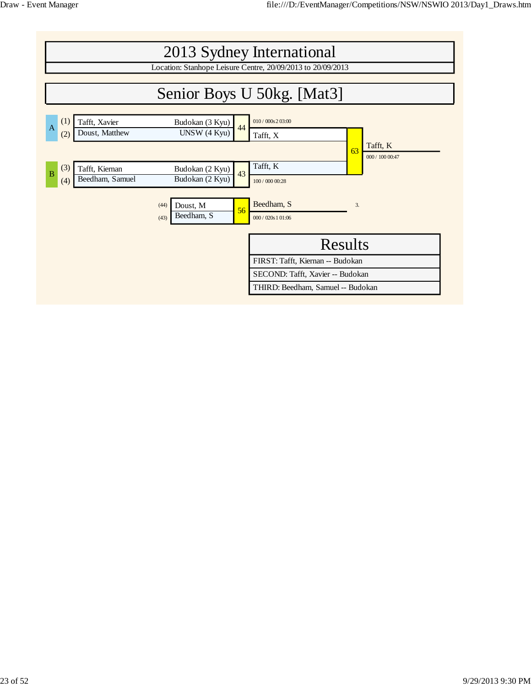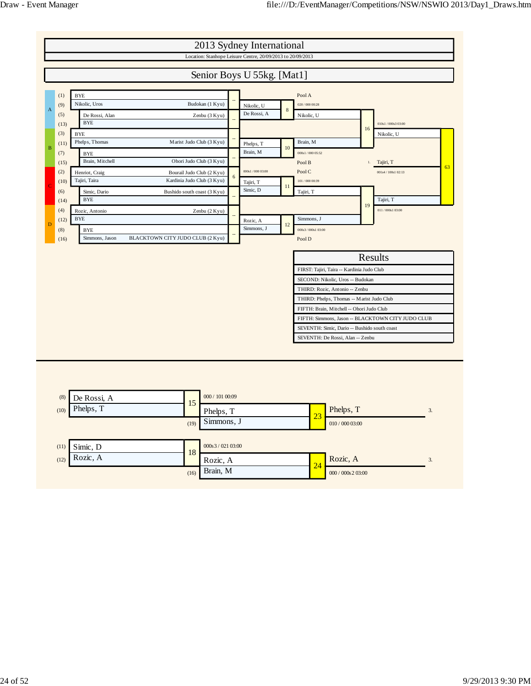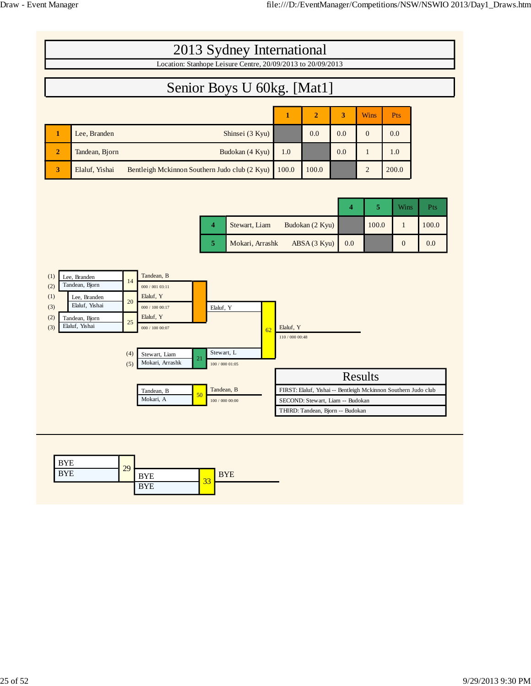|                                                                                                                                                | 2013 Sydney International                                                                                                                                                                                                                                                                   |                              |                                                                      |     |                  |                                                                |       |
|------------------------------------------------------------------------------------------------------------------------------------------------|---------------------------------------------------------------------------------------------------------------------------------------------------------------------------------------------------------------------------------------------------------------------------------------------|------------------------------|----------------------------------------------------------------------|-----|------------------|----------------------------------------------------------------|-------|
|                                                                                                                                                | Location: Stanhope Leisure Centre, 20/09/2013 to 20/09/2013                                                                                                                                                                                                                                 |                              |                                                                      |     |                  |                                                                |       |
|                                                                                                                                                | Senior Boys U 60kg. [Mat1]                                                                                                                                                                                                                                                                  |                              |                                                                      |     |                  |                                                                |       |
|                                                                                                                                                |                                                                                                                                                                                                                                                                                             | $\mathbf{1}$                 | $\overline{2}$                                                       | 3   | <b>Wins</b>      | Pts                                                            |       |
| Lee, Branden<br>$\mathbf{1}$                                                                                                                   | Shinsei (3 Kyu)                                                                                                                                                                                                                                                                             |                              | 0.0                                                                  | 0.0 | $\boldsymbol{0}$ | 0.0                                                            |       |
| $\boldsymbol{2}$<br>Tandean, Bjorn                                                                                                             | Budokan (4 Kyu)                                                                                                                                                                                                                                                                             | 1.0                          |                                                                      | 0.0 | $\mathbf{1}$     | 1.0                                                            |       |
| $\mathbf{3}$<br>Elaluf, Yishai                                                                                                                 | Bentleigh Mckinnon Southern Judo club (2 Kyu)                                                                                                                                                                                                                                               | 100.0                        | 100.0                                                                |     | $\overline{c}$   | 200.0                                                          |       |
|                                                                                                                                                |                                                                                                                                                                                                                                                                                             |                              |                                                                      |     |                  |                                                                |       |
|                                                                                                                                                |                                                                                                                                                                                                                                                                                             |                              |                                                                      | 4   | $\sqrt{5}$       | Wins                                                           | Pts   |
|                                                                                                                                                | Stewart, Liam<br>4                                                                                                                                                                                                                                                                          |                              | Budokan (2 Kyu)                                                      |     | 100.0            | $\mathbf{1}$                                                   | 100.0 |
|                                                                                                                                                | 5<br>Mokari, Arrashk                                                                                                                                                                                                                                                                        |                              | ABSA (3 Kyu)                                                         | 0.0 |                  | $\mathbf{0}$                                                   | 0.0   |
| (1)<br>Lee, Branden<br>Tandean, Bjorn<br>(2)<br>(1)<br>Lee, Branden<br>Elaluf, Yishai<br>(3)<br>(2)<br>Tandean, Bjorn<br>Elaluf, Yishai<br>(3) | Tandean, B<br>14<br>000 / 001 03:11<br>Elaluf, Y<br>20<br>000 / 100 00:17<br>Elaluf, Y<br>Elaluf, Y<br>25<br>000 / 100 00:07<br>62<br>Stewart, L<br>(4)<br>Stewart, Liam<br>21<br>Mokari, Arrashk<br>(5)<br>100 / 000 01:05<br>Tandean, B<br>Tandean, B<br>50<br>Mokari, A<br>100/000 00:00 | Elaluf, Y<br>110 / 000 00:48 | SECOND: Stewart, Liam -- Budokan<br>THIRD: Tandean, Bjorn -- Budokan |     | Results          | FIRST: Elaluf, Yishai -- Bentleigh Mckinnon Southern Judo club |       |
| <b>BYE</b><br><b>BYE</b>                                                                                                                       | 29<br><b>BYE</b><br><b>BYE</b><br>33                                                                                                                                                                                                                                                        |                              |                                                                      |     |                  |                                                                |       |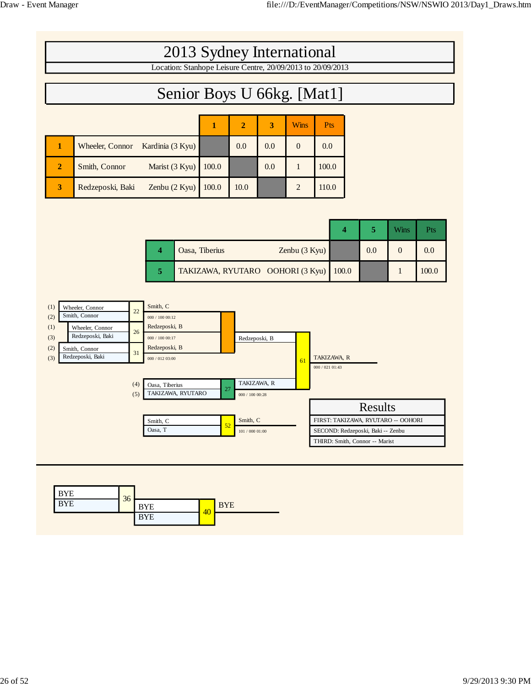|                |                  | 2013 Sydney International                                   |       |                |     |                |            |  |  |
|----------------|------------------|-------------------------------------------------------------|-------|----------------|-----|----------------|------------|--|--|
|                |                  | Location: Stanhope Leisure Centre, 20/09/2013 to 20/09/2013 |       |                |     |                |            |  |  |
|                |                  | Senior Boys U 66kg. [Mat1]                                  |       |                |     |                |            |  |  |
|                |                  |                                                             |       | $\overline{2}$ | 3   | <b>Wins</b>    | <b>Pts</b> |  |  |
| 1              | Wheeler, Connor  | Kardinia (3 Kyu)                                            |       | 0.0            | 0.0 | $\Omega$       | 0.0        |  |  |
| $\overline{2}$ | Smith, Connor    | Marist (3 Kyu)                                              | 100.0 |                | 0.0 |                | 100.0      |  |  |
| 3              | Redzeposki, Baki | Zenbu $(2 Kyu)$                                             | 100.0 | 10.0           |     | $\overline{2}$ | 110.0      |  |  |

|  |                                        |     | Wins | Pts   |
|--|----------------------------------------|-----|------|-------|
|  | Oasa, Tiberius<br>Zenbu $(3 Kyu)$      | 0.0 |      | 0.0   |
|  | TAKIZAWA, RYUTARO OOHORI (3 Kyu) 100.0 |     |      | 100.0 |



| <b>BYE</b> |    |            |    |            |
|------------|----|------------|----|------------|
| <b>BYE</b> | 36 | <b>BYE</b> | 40 | <b>BYE</b> |
|            |    | <b>BYE</b> |    |            |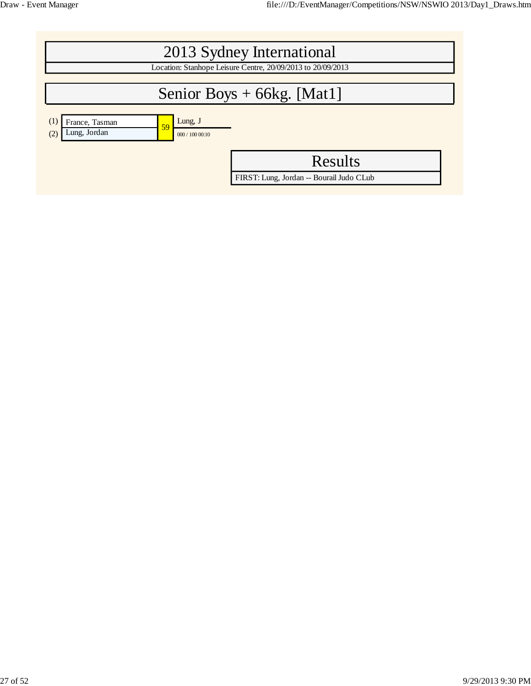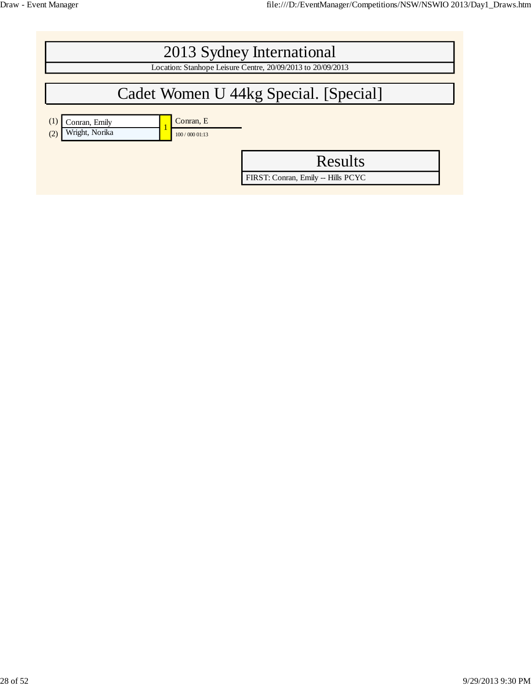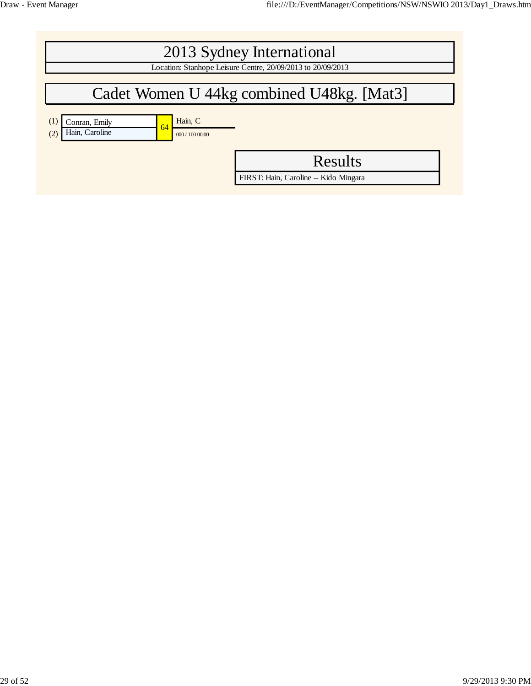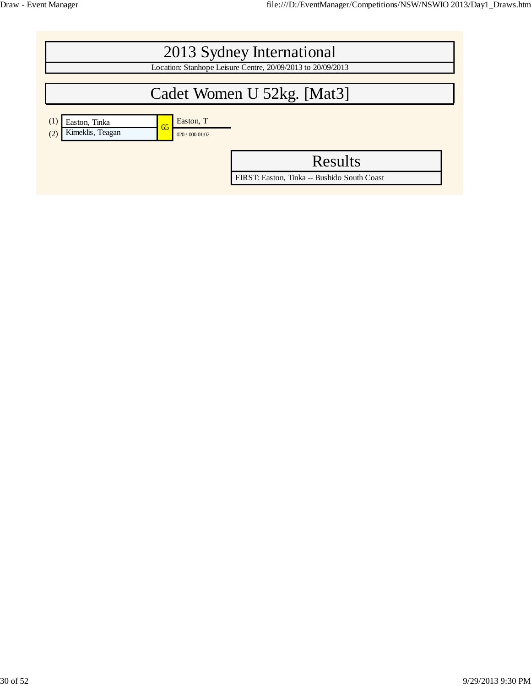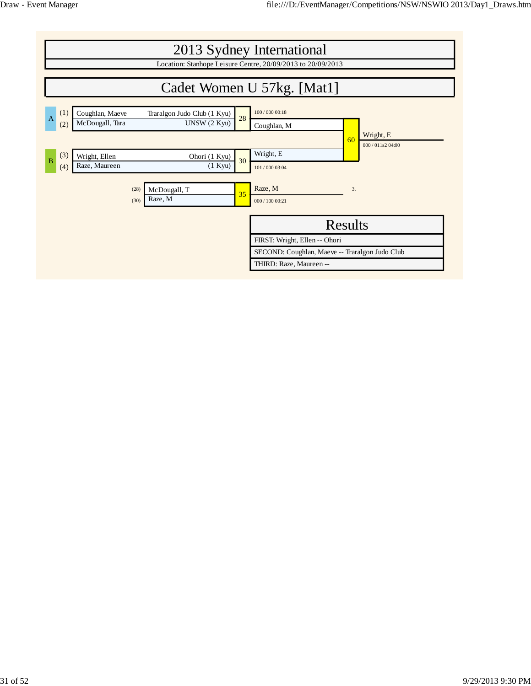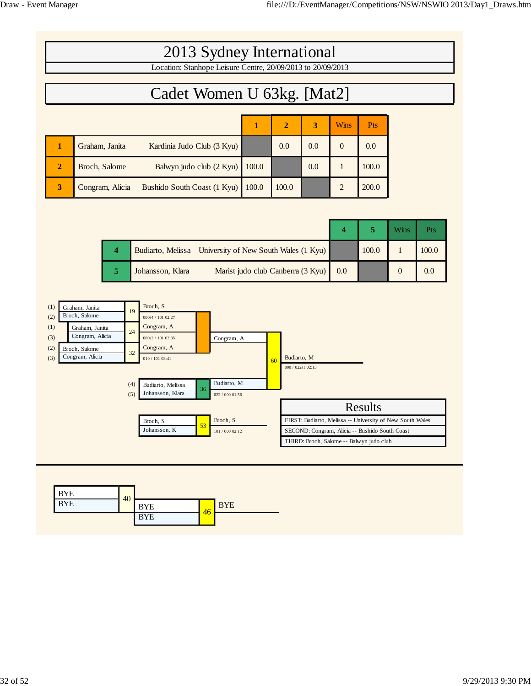г

|                |                 | 2013 Sydney International                                   |       |                |     |                |            |  |
|----------------|-----------------|-------------------------------------------------------------|-------|----------------|-----|----------------|------------|--|
|                |                 | Location: Stanhope Leisure Centre, 20/09/2013 to 20/09/2013 |       |                |     |                |            |  |
|                |                 |                                                             |       |                |     |                |            |  |
|                |                 | Cadet Women U 63kg. [Mat2]                                  |       |                |     |                |            |  |
|                |                 |                                                             |       |                |     |                |            |  |
|                |                 |                                                             |       | $\overline{2}$ | 3   | <b>Wins</b>    | <b>Pts</b> |  |
| п              | Graham, Janita  | Kardinia Judo Club (3 Kyu)                                  |       | 0.0            | 0.0 | $\Omega$       | 0.0        |  |
| $\overline{2}$ | Broch, Salome   | Balwyn judo club (2 Kyu)                                    | 100.0 |                | 0.0 |                | 100.0      |  |
| 3              | Congram, Alicia | Bushido South Coast (1 Kyu)                                 | 100.0 | 100.0          |     | $\overline{2}$ | 200.0      |  |

|  |                                                         |     |       | <b>Wins</b> |       |
|--|---------------------------------------------------------|-----|-------|-------------|-------|
|  | Budiarto, Melissa University of New South Wales (1 Kyu) |     | 100.0 |             | 100.0 |
|  | Marist judo club Canberra (3 Kyu)<br>Johansson, Klara   | 0.0 |       |             | 0.0   |



| <b>BYE</b> | 40 |            |    |            |
|------------|----|------------|----|------------|
| <b>BYE</b> |    | <b>BYE</b> |    | <b>BYE</b> |
|            |    | <b>BYE</b> | 46 |            |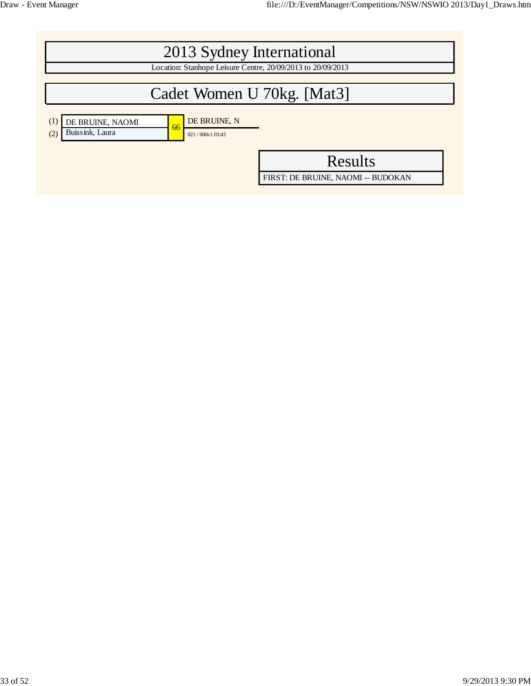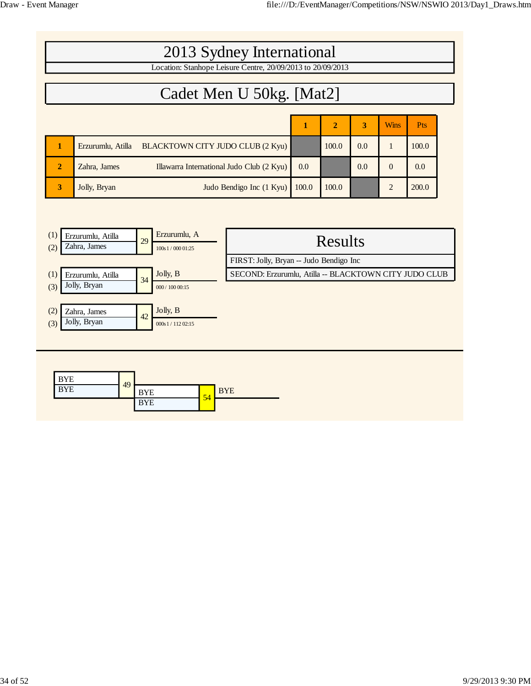|                |                   | 2013 Sydney International                                   |       |                |     |             |       |
|----------------|-------------------|-------------------------------------------------------------|-------|----------------|-----|-------------|-------|
|                |                   | Location: Stanhope Leisure Centre, 20/09/2013 to 20/09/2013 |       |                |     |             |       |
|                |                   | Cadet Men U 50kg. [Mat2]                                    |       |                |     |             |       |
|                |                   |                                                             | 1     | $\overline{2}$ | 3   | <b>Wins</b> | Pts   |
|                | Erzurumlu, Atilla | BLACKTOWN CITY JUDO CLUB (2 Kyu)                            |       | 100.0          | 0.0 |             | 100.0 |
| $\overline{2}$ | Zahra, James      | Illawarra International Judo Club (2 Kyu)                   | 0.0   |                | 0.0 | $\Omega$    | 0.0   |
| 3              | Jolly, Bryan      | Judo Bendigo Inc (1 Kyu)                                    | 100.0 | 100.0          |     |             | 200.0 |

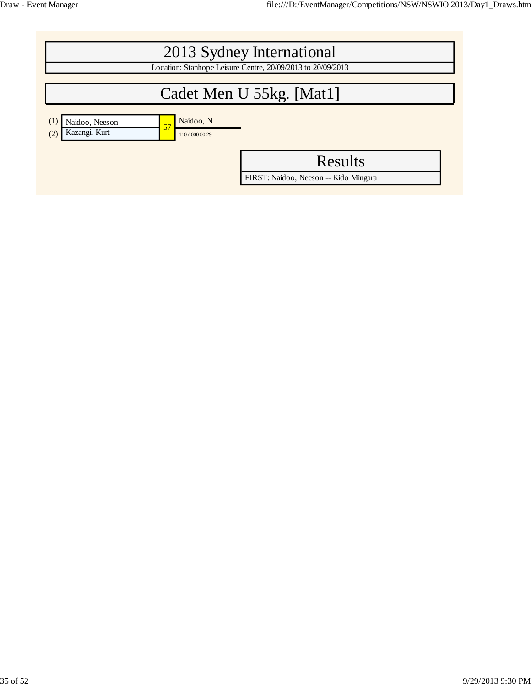|                                                                                   | 2013 Sydney International<br>Location: Stanhope Leisure Centre, 20/09/2013 to 20/09/2013 |
|-----------------------------------------------------------------------------------|------------------------------------------------------------------------------------------|
|                                                                                   | Cadet Men U 55kg. [Mat1]                                                                 |
|                                                                                   |                                                                                          |
| Naidoo, N<br>(1)<br>Naidoo, Neeson<br>57<br>Kazangi, Kurt<br>(2)<br>110/000 00:29 |                                                                                          |
|                                                                                   | <b>Results</b>                                                                           |
|                                                                                   | FIRST: Naidoo, Neeson -- Kido Mingara                                                    |
|                                                                                   |                                                                                          |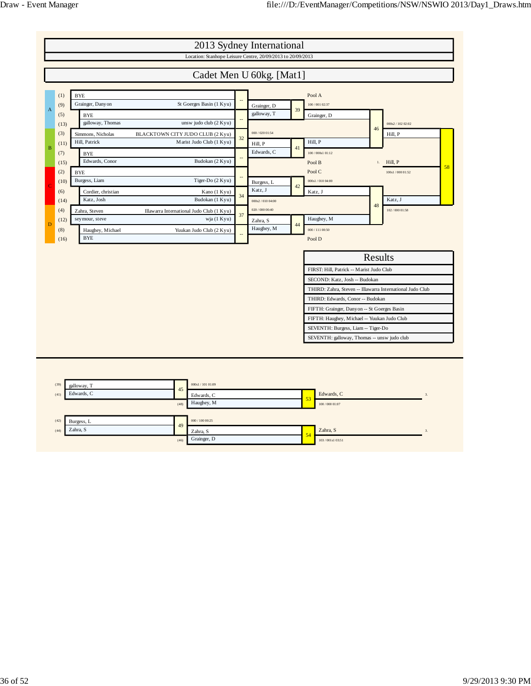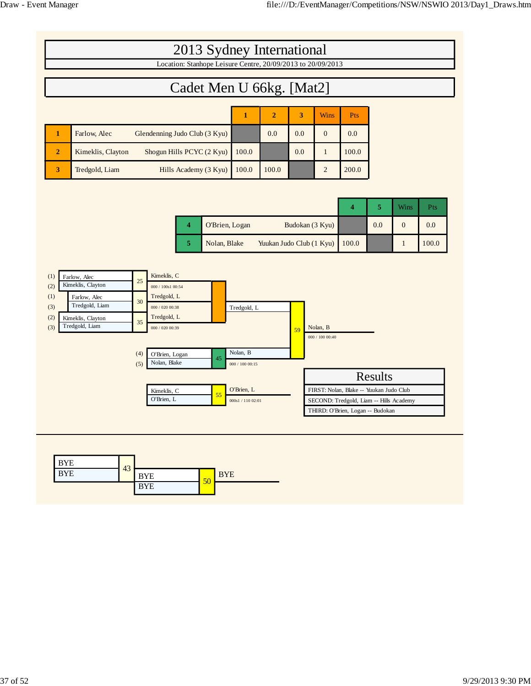|                                                                                                                                                      | 2013 Sydney International<br>Location: Stanhope Leisure Centre, 20/09/2013 to 20/09/2013                                                                                                                        |                                                                               |                          |                 |                             |                                                                                                                        |                |                |            |
|------------------------------------------------------------------------------------------------------------------------------------------------------|-----------------------------------------------------------------------------------------------------------------------------------------------------------------------------------------------------------------|-------------------------------------------------------------------------------|--------------------------|-----------------|-----------------------------|------------------------------------------------------------------------------------------------------------------------|----------------|----------------|------------|
|                                                                                                                                                      | Cadet Men U 66kg. [Mat2]                                                                                                                                                                                        |                                                                               |                          |                 |                             |                                                                                                                        |                |                |            |
|                                                                                                                                                      |                                                                                                                                                                                                                 | $\mathbf{1}$                                                                  | $\overline{2}$           | 3               | Wins                        | Pts                                                                                                                    |                |                |            |
| $\mathbf{1}$<br>Farlow, Alec                                                                                                                         | Glendenning Judo Club (3 Kyu)                                                                                                                                                                                   |                                                                               | 0.0                      | 0.0             | $\mathbf{0}$                | 0.0                                                                                                                    |                |                |            |
| $\overline{2}$<br>Kimeklis, Clayton                                                                                                                  | Shogun Hills PCYC (2 Kyu)                                                                                                                                                                                       | 100.0                                                                         |                          | 0.0             | $\mathbf{1}$                | 100.0                                                                                                                  |                |                |            |
| 3<br>Tredgold, Liam                                                                                                                                  | Hills Academy (3 Kyu)                                                                                                                                                                                           | 100.0                                                                         | 100.0                    |                 | $\overline{2}$              | 200.0                                                                                                                  |                |                |            |
|                                                                                                                                                      |                                                                                                                                                                                                                 |                                                                               |                          |                 |                             | 4                                                                                                                      | 5              | Wins           | <b>Pts</b> |
|                                                                                                                                                      | $\overline{\bf 4}$<br>O'Brien, Logan                                                                                                                                                                            |                                                                               |                          | Budokan (3 Kyu) |                             |                                                                                                                        | 0.0            | $\overline{0}$ | 0.0        |
|                                                                                                                                                      | 5<br>Nolan, Blake                                                                                                                                                                                               |                                                                               | Yuukan Judo Club (1 Kyu) |                 |                             | 100.0                                                                                                                  |                | $\mathbf{1}$   | 100.0      |
| (1)<br>Farlow, Alec<br>Kimeklis, Clayton<br>(2)<br>(1)<br>Farlow, Alec<br>Tredgold, Liam<br>(3)<br>(2)<br>Kimeklis, Clayton<br>Tredgold, Liam<br>(3) | Kimeklis, C<br>25<br>000 / 100s1 00:54<br>Tredgold, L<br>30<br>000 / 020 00:38<br>Tredgold, L<br>35<br>000 / 020 00:39<br>(4)<br>O'Brien, Logan<br>45<br>Nolan, Blake<br>(5)<br>Kimeklis, C<br>55<br>O'Brien, L | Tredgold, L<br>Nolan, B<br>000 / 100 00:15<br>O'Brien, L<br>000s1 / 110 02:01 |                          | 59              | Nolan, B<br>000 / 100 00:40 | FIRST: Nolan, Blake -- Yuukan Judo Club<br>SECOND: Tredgold, Liam -- Hills Academy<br>THIRD: O'Brien, Logan -- Budokan | <b>Results</b> |                |            |
| <b>BYE</b><br>43<br><b>BYE</b>                                                                                                                       | <b>BYE</b><br><b>BYE</b><br>50<br><b>DYT</b>                                                                                                                                                                    |                                                                               |                          |                 |                             |                                                                                                                        |                |                |            |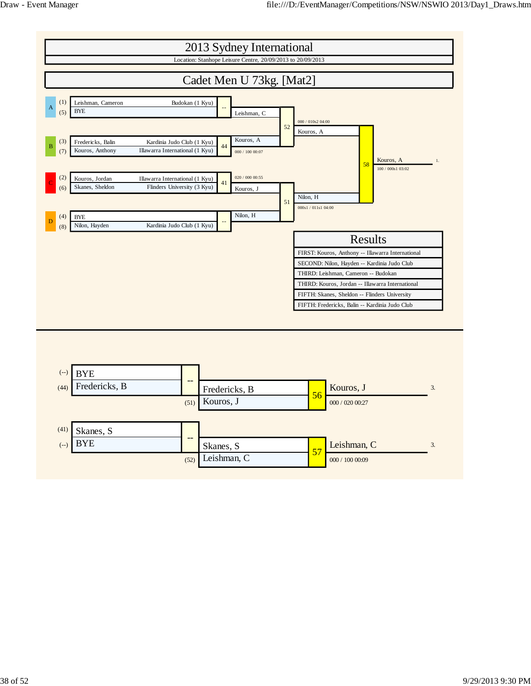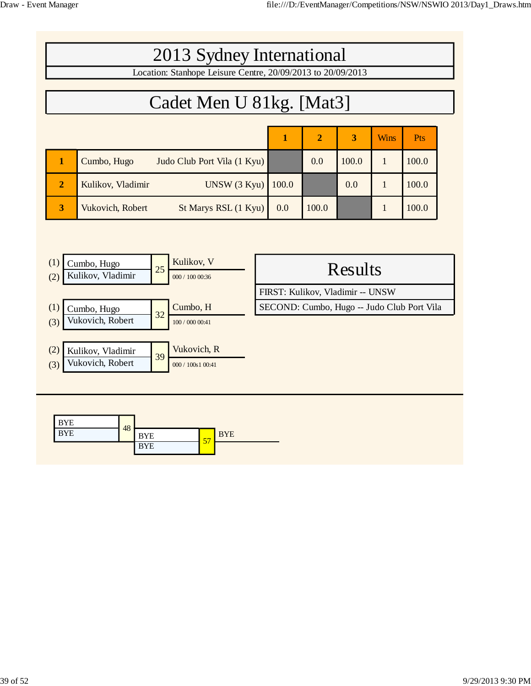| 2013 Sydney International                                   |
|-------------------------------------------------------------|
| Location: Stanhope Leisure Centre, 20/09/2013 to 20/09/2013 |
|                                                             |
| Cadet Men U 81kg. [Mat3]                                    |

|                |                                            |       | $\mathbf{2}$ | 3     | <b>Wins</b> | Pts   |
|----------------|--------------------------------------------|-------|--------------|-------|-------------|-------|
|                | Judo Club Port Vila (1 Kyu)<br>Cumbo, Hugo |       | 0.0          | 100.0 |             | 100.0 |
| $\overline{2}$ | Kulikov, Vladimir<br>UNSW(3 Kyu)           | 100.0 |              | 0.0   |             | 100.0 |
| 3              | St Marys RSL (1 Kyu)<br>Vukovich, Robert   | 0.0   | 100.0        |       |             | 100.0 |

| (1)<br>(2) | Cumbo, Hugo<br>Kulikov, Vladimir | 25 | Kulikov, V<br>000 / 100 00:36 | Results                                    |
|------------|----------------------------------|----|-------------------------------|--------------------------------------------|
|            |                                  |    |                               | FIRST: Kulikov, Vladimir -- UNSW           |
| (1)        | Cumbo, Hugo                      | 32 | Cumbo, H                      | SECOND: Cumbo, Hugo -- Judo Club Port Vila |
| (3)        | Vukovich, Robert                 |    | 100 / 000 00:41               |                                            |
|            |                                  |    |                               |                                            |
| (2)        | Kulikov, Vladimir                | 39 | Vukovich, R                   |                                            |
| (3)        | Vukovich, Robert                 |    | 000 / 100s1 00:41             |                                            |
|            |                                  |    |                               |                                            |

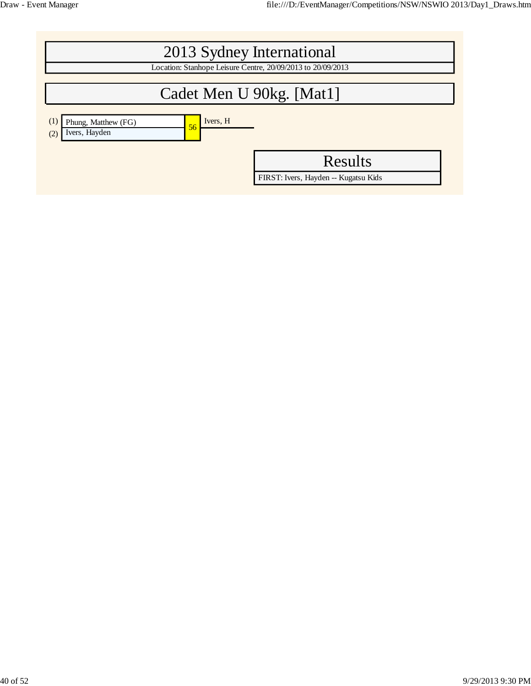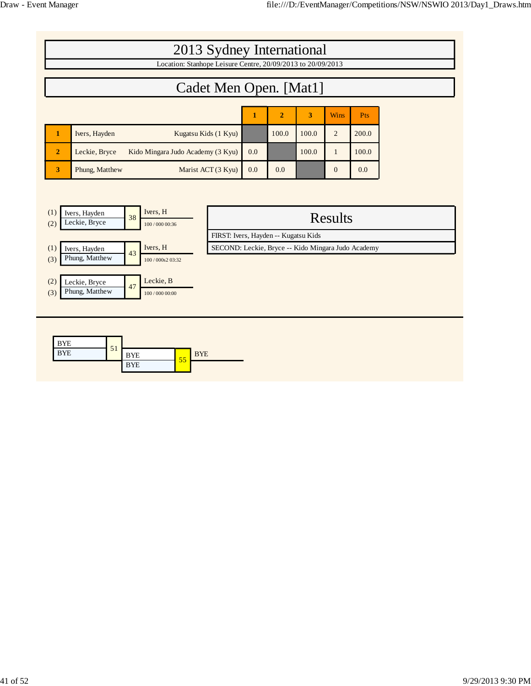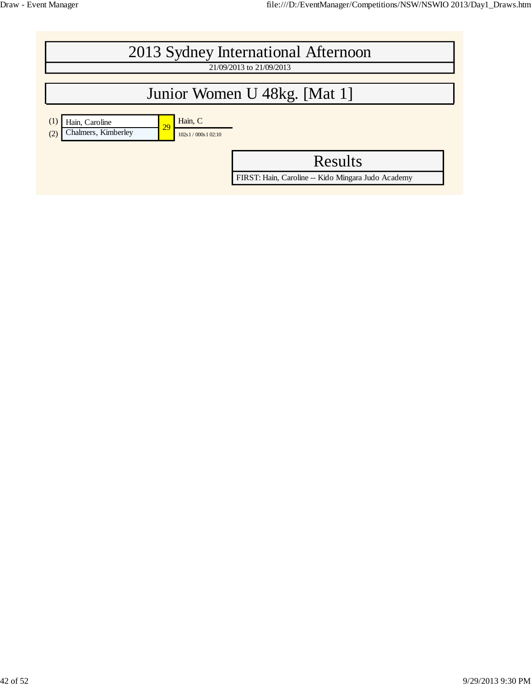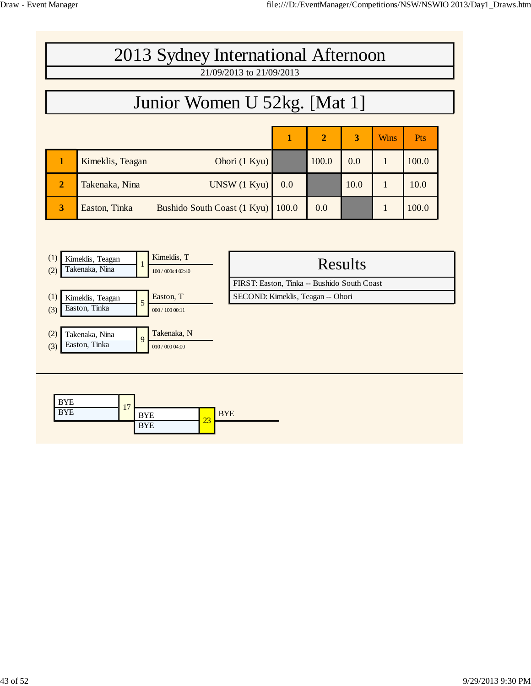## 2013 Sydney International Afternoon 21/09/2013 to 21/09/2013 Junior Women U 52kg. [Mat 1] **1 2 3** Wins Pts **1** Kimeklis, Teagan **Ohori** (1 Kyu) 100.0 0.0 1 100.0 **2** Takenaka, Nina UNSW (1 Kyu) 0.0 1 10.0 1 10.0

**3** Easton, Tinka Bushido South Coast (1 Kyu) 100.0 0.0 1 1 100.0

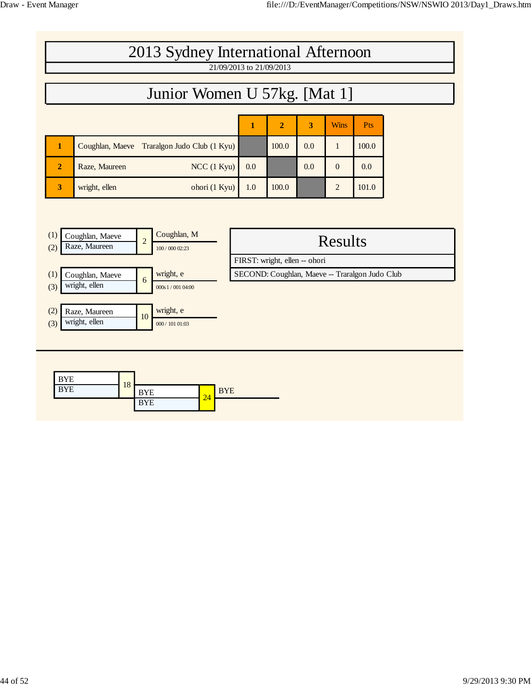| 2013 Sydney International Afternoon<br>21/09/2013 to 21/09/2013                                    |     |                                                                                 |                         |                  |       |  |
|----------------------------------------------------------------------------------------------------|-----|---------------------------------------------------------------------------------|-------------------------|------------------|-------|--|
| Junior Women U 57kg. [Mat 1]                                                                       |     |                                                                                 |                         |                  |       |  |
|                                                                                                    |     |                                                                                 |                         |                  |       |  |
|                                                                                                    | 1   | $\boldsymbol{2}$                                                                | $\overline{\mathbf{3}}$ | <b>Wins</b>      | Pts   |  |
| Coughlan, Maeve<br>Traralgon Judo Club (1 Kyu)<br>1                                                |     | 100.0                                                                           | 0.0                     | $\mathbf{1}$     | 100.0 |  |
| Raze, Maureen<br>$NCC$ (1 Kyu)<br>$\overline{2}$                                                   | 0.0 |                                                                                 | 0.0                     | $\boldsymbol{0}$ | 0.0   |  |
| wright, ellen<br>ohori (1 Kyu)<br>3                                                                | 1.0 | 100.0                                                                           |                         | $\overline{2}$   | 101.0 |  |
|                                                                                                    |     |                                                                                 |                         |                  |       |  |
| Coughlan, M<br>(1)<br>Coughlan, Maeve<br>$\overline{c}$<br>Raze, Maureen<br>(2)<br>100 / 000 02:23 |     |                                                                                 |                         | <b>Results</b>   |       |  |
| wright, e<br>(1)<br>Coughlan, Maeve                                                                |     | FIRST: wright, ellen -- ohori<br>SECOND: Coughlan, Maeve -- Traralgon Judo Club |                         |                  |       |  |
| $\boldsymbol{6}$<br>wright, ellen<br>(3)<br>000s1/00104:00                                         |     |                                                                                 |                         |                  |       |  |
| wright, e<br>(2)<br>Raze, Maureen<br>10<br>wright, ellen<br>(3)<br>000 / 101 01:03                 |     |                                                                                 |                         |                  |       |  |
|                                                                                                    |     |                                                                                 |                         |                  |       |  |
| <b>BYE</b><br>18<br><b>BYE</b><br><b>BYE</b><br><b>BYE</b><br>24<br><b>BYE</b>                     |     |                                                                                 |                         |                  |       |  |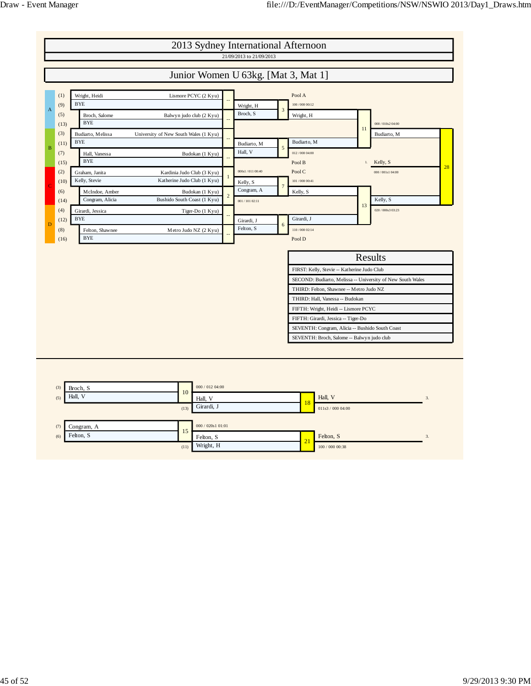

|     | Congram, A | $\sim$ | 000 / 020s1 01:01 |              |                 |  |
|-----|------------|--------|-------------------|--------------|-----------------|--|
| (6) | Felton, S  | -      | Felton, S         | $\mathbf{A}$ | Felton, S.      |  |
|     |            | (11)   | Wright, H         | - 1          | 100 / 000 00:38 |  |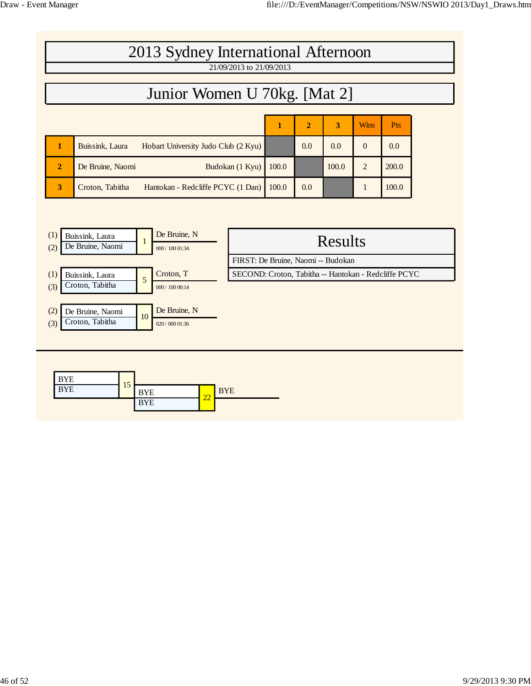|                | 2013 Sydney International Afternoon                    |       |                |       |                |            |  |  |  |  |  |
|----------------|--------------------------------------------------------|-------|----------------|-------|----------------|------------|--|--|--|--|--|
|                | 21/09/2013 to 21/09/2013                               |       |                |       |                |            |  |  |  |  |  |
|                | Junior Women U 70kg. [Mat 2]                           |       |                |       |                |            |  |  |  |  |  |
|                |                                                        |       |                |       | <b>Wins</b>    |            |  |  |  |  |  |
|                |                                                        | 1     | $\overline{2}$ | 3     |                | <b>Pts</b> |  |  |  |  |  |
|                | Buissink, Laura<br>Hobart University Judo Club (2 Kyu) |       | 0.0            | 0.0   | $\Omega$       | 0.0        |  |  |  |  |  |
| $\overline{2}$ | De Bruine, Naomi<br>Budokan (1 Kyu)                    | 100.0 |                | 100.0 | $\overline{2}$ | 200.0      |  |  |  |  |  |
| 3              | Croton, Tabitha<br>Hantokan - Redcliffe PCYC (1 Dan)   | 100.0 | 0.0            |       | 1              | 100.0      |  |  |  |  |  |
|                |                                                        |       |                |       |                |            |  |  |  |  |  |

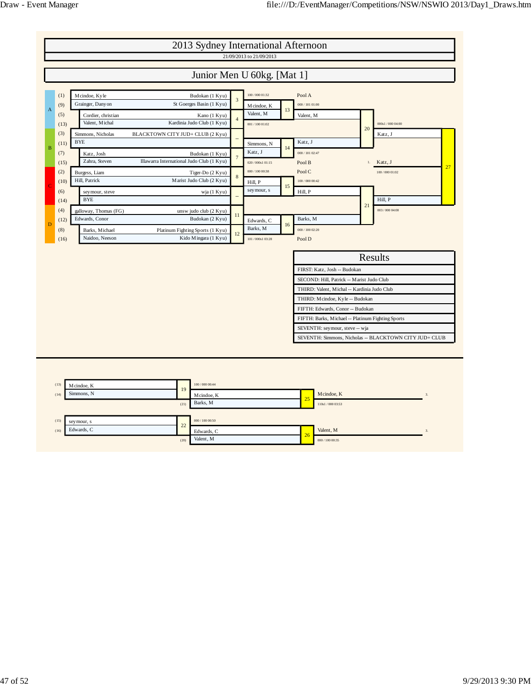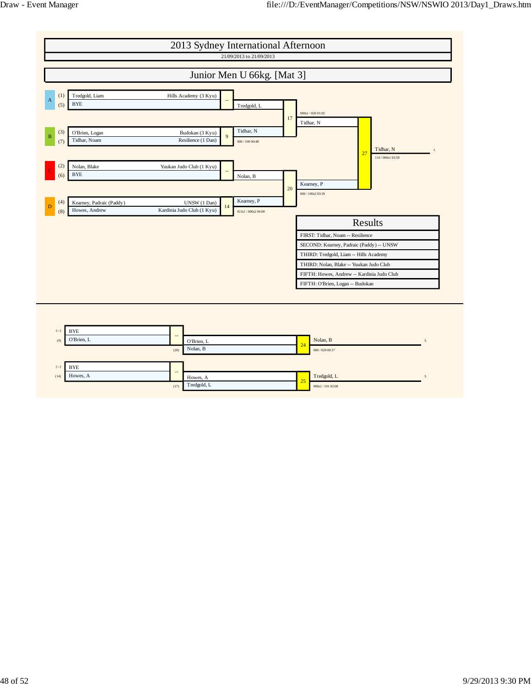

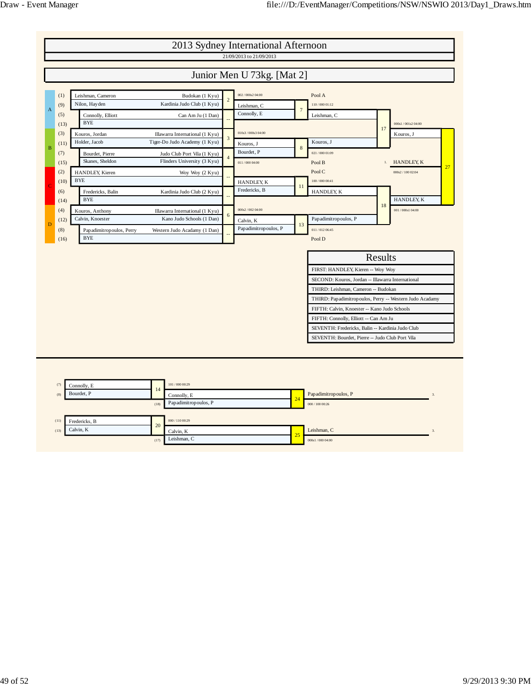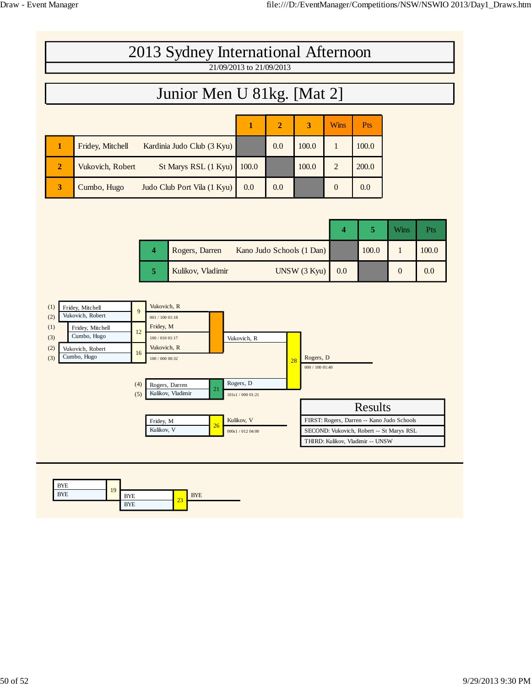|                | 2013 Sydney International Afternoon            |                          |                |       |               |            |  |
|----------------|------------------------------------------------|--------------------------|----------------|-------|---------------|------------|--|
|                |                                                | 21/09/2013 to 21/09/2013 |                |       |               |            |  |
|                | Junior Men U 81kg. [Mat 2]                     |                          |                |       |               |            |  |
|                |                                                |                          |                |       |               |            |  |
|                |                                                | 1                        | $\overline{2}$ | 3     | <b>Wins</b>   | <b>Pts</b> |  |
|                | Fridey, Mitchell<br>Kardinia Judo Club (3 Kyu) |                          | 0.0            | 100.0 |               | 100.0      |  |
| $\overline{2}$ | St Marys RSL (1 Kyu)<br>Vukovich, Robert       | 100.0                    |                | 100.0 | $\mathcal{L}$ | 200.0      |  |
| 3              | Cumbo, Hugo<br>Judo Club Port Vila (1 Kyu)     | 0.0                      | 0.0            |       | $\Omega$      | 0.0        |  |

|                                             |     |       | Wins | Pts   |
|---------------------------------------------|-----|-------|------|-------|
| Kano Judo Schools (1 Dan)<br>Rogers, Darren |     | 100.0 |      | 100.0 |
| UNSW (3 Kyu)<br>Kulikov, Vladimir           | 0.0 |       |      | 0.0   |



| <b>BYE</b><br><b>BYE</b> | 1 <sub>Q</sub> | <b>BYE</b> | $\sim$ | <b>BYE</b> |
|--------------------------|----------------|------------|--------|------------|
|                          |                | <b>BYE</b> | -      |            |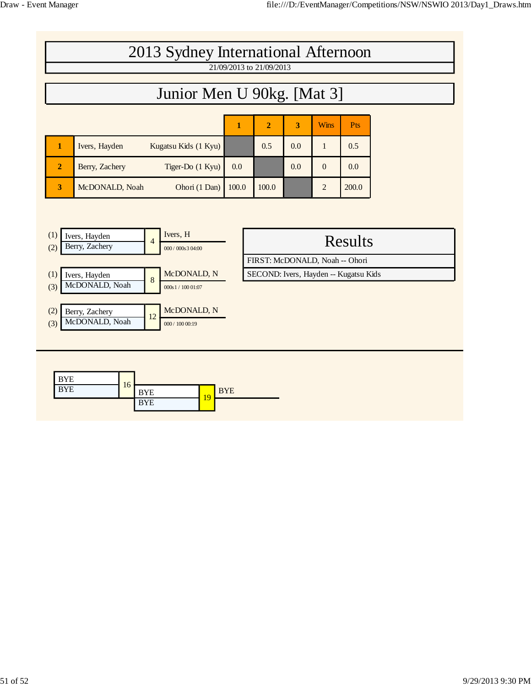and the state of the state of the state

| 2013 Sydney International Afternoon                                                                                                                |            | 21/09/2013 to 21/09/2013       |     |                |                                                         |  |
|----------------------------------------------------------------------------------------------------------------------------------------------------|------------|--------------------------------|-----|----------------|---------------------------------------------------------|--|
| Junior Men U 90kg. [Mat 3]                                                                                                                         |            |                                |     |                |                                                         |  |
|                                                                                                                                                    |            |                                |     |                |                                                         |  |
|                                                                                                                                                    | 1          | $\overline{2}$                 | 3   | <b>Wins</b>    | Pts                                                     |  |
| $\mathbf{1}$<br>Ivers, Hayden<br>Kugatsu Kids (1 Kyu)                                                                                              |            | 0.5                            | 0.0 | $\mathbf{1}$   | 0.5                                                     |  |
| Berry, Zachery<br>Tiger-Do (1 Kyu)<br>$\overline{2}$                                                                                               | 0.0        |                                | 0.0 | $\Omega$       | 0.0                                                     |  |
| McDONALD, Noah<br>Ohori (1 Dan)<br>3                                                                                                               | 100.0      | 100.0                          |     | $\overline{2}$ | 200.0                                                   |  |
| Ivers, Hayden<br>$\overline{4}$<br>Berry, Zachery<br>(2)<br>000 / 000s 3 04:00<br>McDONALD, N<br>(1)<br>Ivers, Hayden<br>$\bf 8$<br>McDONALD, Noah |            | FIRST: McDONALD, Noah -- Ohori |     |                | <b>Results</b><br>SECOND: Ivers, Hayden -- Kugatsu Kids |  |
| (3)<br>000s1 / 10001:07<br>McDONALD, N<br>(2)<br>Berry, Zachery<br>12<br>McDONALD, Noah<br>(3)<br>000 / 100 00:19                                  |            |                                |     |                |                                                         |  |
| <b>BYE</b><br>16<br><b>BYE</b><br><b>BYE</b><br>19<br><b>BYE</b>                                                                                   | <b>BYE</b> |                                |     |                |                                                         |  |